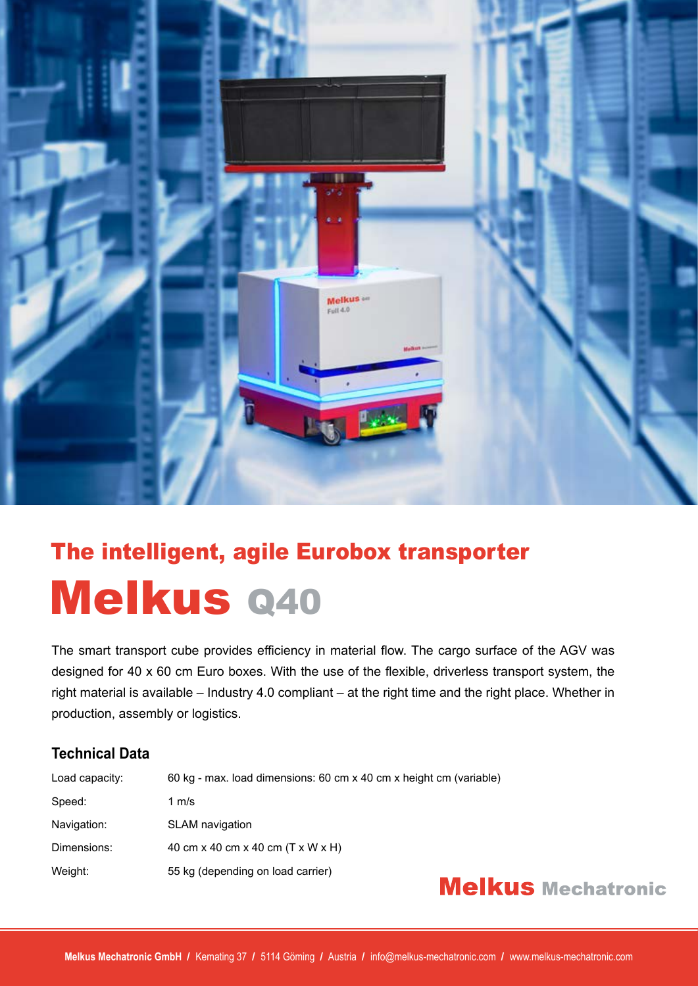

## The intelligent, agile Eurobox transporter Melkus Q40

The smart transport cube provides efficiency in material flow. The cargo surface of the AGV was designed for 40 x 60 cm Euro boxes. With the use of the flexible, driverless transport system, the right material is available – Industry 4.0 compliant – at the right time and the right place. Whether in production, assembly or logistics.

### **Technical Data**

| Load capacity: | 60 kg - max. load dimensions: 60 cm x 40 cm x height cm (variable) |
|----------------|--------------------------------------------------------------------|
| Speed:         | 1 $m/s$                                                            |
| Navigation:    | <b>SLAM</b> navigation                                             |
| Dimensions:    | 40 cm x 40 cm x 40 cm (T x W x H)                                  |
| Weight:        | 55 kg (depending on load carrier)                                  |

### **Melkus** Mechatronic